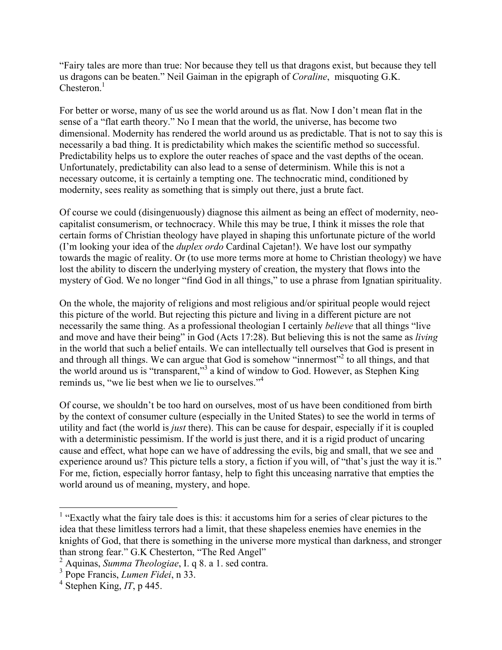"Fairy tales are more than true: Nor because they tell us that dragons exist, but because they tell us dragons can be beaten." Neil Gaiman in the epigraph of *Coraline*, misquoting G.K. Chesteron.<sup>1</sup>

For better or worse, many of us see the world around us as flat. Now I don't mean flat in the sense of a "flat earth theory." No I mean that the world, the universe, has become two dimensional. Modernity has rendered the world around us as predictable. That is not to say this is necessarily a bad thing. It is predictability which makes the scientific method so successful. Predictability helps us to explore the outer reaches of space and the vast depths of the ocean. Unfortunately, predictability can also lead to a sense of determinism. While this is not a necessary outcome, it is certainly a tempting one. The technocratic mind, conditioned by modernity, sees reality as something that is simply out there, just a brute fact.

Of course we could (disingenuously) diagnose this ailment as being an effect of modernity, neocapitalist consumerism, or technocracy. While this may be true, I think it misses the role that certain forms of Christian theology have played in shaping this unfortunate picture of the world (I'm looking your idea of the *duplex ordo* Cardinal Cajetan!). We have lost our sympathy towards the magic of reality. Or (to use more terms more at home to Christian theology) we have lost the ability to discern the underlying mystery of creation, the mystery that flows into the mystery of God. We no longer "find God in all things," to use a phrase from Ignatian spirituality.

On the whole, the majority of religions and most religious and/or spiritual people would reject this picture of the world. But rejecting this picture and living in a different picture are not necessarily the same thing. As a professional theologian I certainly *believe* that all things "live and move and have their being" in God (Acts 17:28). But believing this is not the same as *living*  in the world that such a belief entails. We can intellectually tell ourselves that God is present in and through all things. We can argue that God is somehow "innermost"<sup>2</sup> to all things, and that the world around us is "transparent,"<sup>3</sup> a kind of window to God. However, as Stephen King reminds us, "we lie best when we lie to ourselves."<sup>4</sup>

Of course, we shouldn't be too hard on ourselves, most of us have been conditioned from birth by the context of consumer culture (especially in the United States) to see the world in terms of utility and fact (the world is *just* there). This can be cause for despair, especially if it is coupled with a deterministic pessimism. If the world is just there, and it is a rigid product of uncaring cause and effect, what hope can we have of addressing the evils, big and small, that we see and experience around us? This picture tells a story, a fiction if you will, of "that's just the way it is." For me, fiction, especially horror fantasy, help to fight this unceasing narrative that empties the world around us of meaning, mystery, and hope.

<sup>&</sup>lt;sup>1</sup> "Exactly what the fairy tale does is this: it accustoms him for a series of clear pictures to the idea that these limitless terrors had a limit, that these shapeless enemies have enemies in the knights of God, that there is something in the universe more mystical than darkness, and stronger than strong fear." G.K Chesterton, "The Red Angel" <sup>2</sup> Aquinas, *Summa Theologiae*, I. q 8. a 1. sed contra.

<sup>3</sup> Pope Francis, *Lumen Fidei*, n 33.

 $4$  Stephen King, *IT*, p 445.